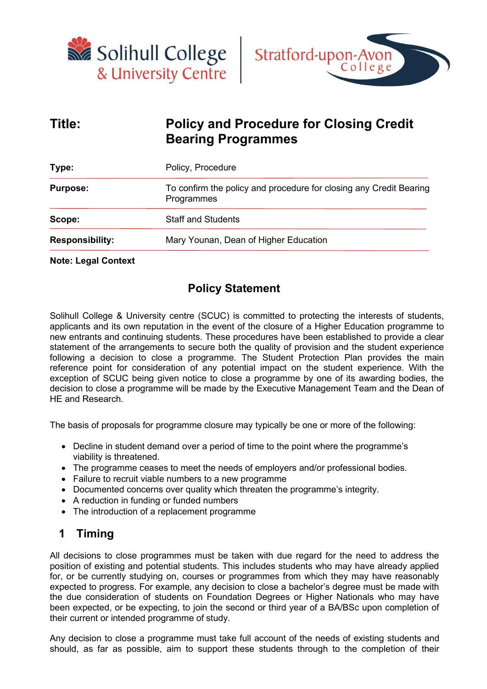



# **Title: Policy and Procedure for Closing Credit Bearing Programmes**

| Type:                  | Policy, Procedure                                                                |  |  |
|------------------------|----------------------------------------------------------------------------------|--|--|
| <b>Purpose:</b>        | To confirm the policy and procedure for closing any Credit Bearing<br>Programmes |  |  |
| Scope:                 | <b>Staff and Students</b>                                                        |  |  |
| <b>Responsibility:</b> | Mary Younan, Dean of Higher Education                                            |  |  |
|                        |                                                                                  |  |  |

#### **Note: Legal Context**

#### **Policy Statement**

Solihull College & University centre (SCUC) is committed to protecting the interests of students, applicants and its own reputation in the event of the closure of a Higher Education programme to new entrants and continuing students. These procedures have been established to provide a clear statement of the arrangements to secure both the quality of provision and the student experience following a decision to close a programme. The Student Protection Plan provides the main reference point for consideration of any potential impact on the student experience. With the exception of SCUC being given notice to close a programme by one of its awarding bodies, the decision to close a programme will be made by the Executive Management Team and the Dean of HE and Research.

The basis of proposals for programme closure may typically be one or more of the following:

- Decline in student demand over a period of time to the point where the programme's viability is threatened.
- The programme ceases to meet the needs of employers and/or professional bodies.
- Failure to recruit viable numbers to a new programme
- Documented concerns over quality which threaten the programme's integrity.
- A reduction in funding or funded numbers
- The introduction of a replacement programme

#### **1 Timing**

All decisions to close programmes must be taken with due regard for the need to address the position of existing and potential students. This includes students who may have already applied for, or be currently studying on, courses or programmes from which they may have reasonably expected to progress. For example, any decision to close a bachelor's degree must be made with the due consideration of students on Foundation Degrees or Higher Nationals who may have been expected, or be expecting, to join the second or third year of a BA/BSc upon completion of their current or intended programme of study.

Any decision to close a programme must take full account of the needs of existing students and should, as far as possible, aim to support these students through to the completion of their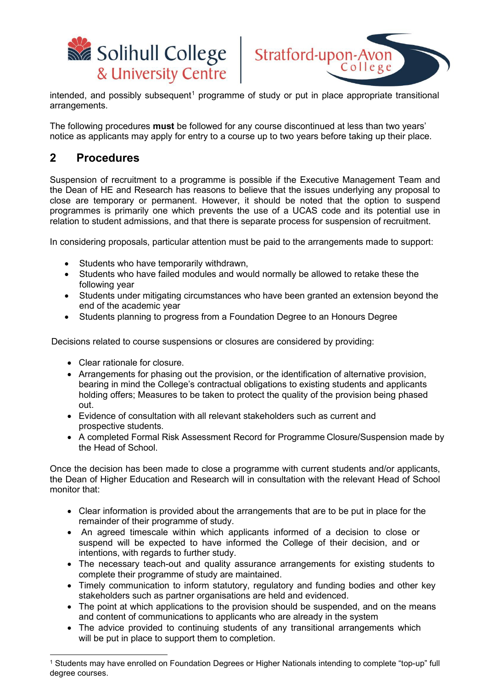



 $intended$ , and possibly subsequent<sup>[1](#page-1-0)</sup> programme of study or put in place appropriate transitional arrangements.

The following procedures **must** be followed for any course discontinued at less than two years' notice as applicants may apply for entry to a course up to two years before taking up their place.

#### **2 Procedures**

Suspension of recruitment to a programme is possible if the Executive Management Team and the Dean of HE and Research has reasons to believe that the issues underlying any proposal to close are temporary or permanent. However, it should be noted that the option to suspend programmes is primarily one which prevents the use of a UCAS code and its potential use in relation to student admissions, and that there is separate process for suspension of recruitment.

In considering proposals, particular attention must be paid to the arrangements made to support:

- Students who have temporarily withdrawn,
- Students who have failed modules and would normally be allowed to retake these the following year
- Students under mitigating circumstances who have been granted an extension beyond the end of the academic year
- Students planning to progress from a Foundation Degree to an Honours Degree

Decisions related to course suspensions or closures are considered by providing:

- Clear rationale for closure.
- Arrangements for phasing out the provision, or the identification of alternative provision, bearing in mind the College's contractual obligations to existing students and applicants holding offers; Measures to be taken to protect the quality of the provision being phased out.
- Evidence of consultation with all relevant stakeholders such as current and prospective students.
- A completed Formal Risk Assessment Record for Programme Closure/Suspension made by the Head of School.

Once the decision has been made to close a programme with current students and/or applicants, the Dean of Higher Education and Research will in consultation with the relevant Head of School monitor that:

- Clear information is provided about the arrangements that are to be put in place for the remainder of their programme of study.
- An agreed timescale within which applicants informed of a decision to close or suspend will be expected to have informed the College of their decision, and or intentions, with regards to further study.
- The necessary teach-out and quality assurance arrangements for existing students to complete their programme of study are maintained.
- Timely communication to inform statutory, regulatory and funding bodies and other key stakeholders such as partner organisations are held and evidenced.
- The point at which applications to the provision should be suspended, and on the means and content of communications to applicants who are already in the system
- The advice provided to continuing students of any transitional arrangements which will be put in place to support them to completion.

<span id="page-1-0"></span><sup>1</sup> Students may have enrolled on Foundation Degrees or Higher Nationals intending to complete "top-up" full degree courses.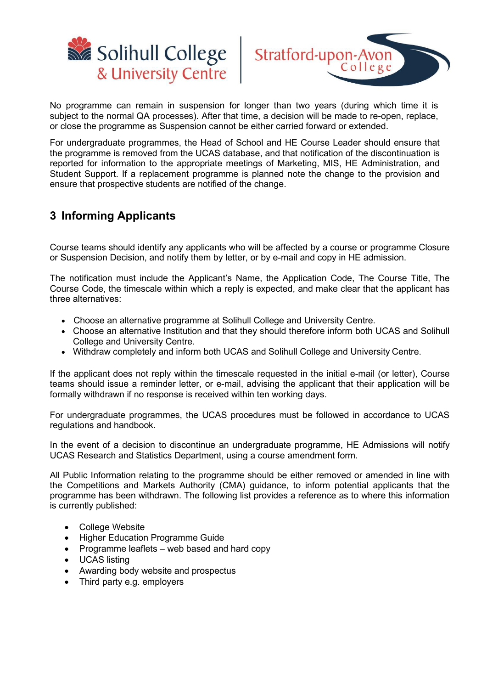



No programme can remain in suspension for longer than two years (during which time it is subject to the normal QA processes). After that time, a decision will be made to re-open, replace, or close the programme as Suspension cannot be either carried forward or extended.

For undergraduate programmes, the Head of School and HE Course Leader should ensure that the programme is removed from the UCAS database, and that notification of the discontinuation is reported for information to the appropriate meetings of Marketing, MIS, HE Administration, and Student Support. If a replacement programme is planned note the change to the provision and ensure that prospective students are notified of the change.

### **3 Informing Applicants**

Course teams should identify any applicants who will be affected by a course or programme Closure or Suspension Decision, and notify them by letter, or by e-mail and copy in HE admission.

The notification must include the Applicant's Name, the Application Code, The Course Title, The Course Code, the timescale within which a reply is expected, and make clear that the applicant has three alternatives:

- Choose an alternative programme at Solihull College and University Centre.
- Choose an alternative Institution and that they should therefore inform both UCAS and Solihull College and University Centre.
- Withdraw completely and inform both UCAS and Solihull College and University Centre.

If the applicant does not reply within the timescale requested in the initial e-mail (or letter), Course teams should issue a reminder letter, or e-mail, advising the applicant that their application will be formally withdrawn if no response is received within ten working days.

For undergraduate programmes, the UCAS procedures must be followed in accordance to UCAS regulations and handbook.

In the event of a decision to discontinue an undergraduate programme, HE Admissions will notify UCAS Research and Statistics Department, using a course amendment form.

All Public Information relating to the programme should be either removed or amended in line with the Competitions and Markets Authority (CMA) guidance, to inform potential applicants that the programme has been withdrawn. The following list provides a reference as to where this information is currently published:

- College Website
- Higher Education Programme Guide
- Programme leaflets web based and hard copy
- UCAS listing
- Awarding body website and prospectus
- Third party e.g. employers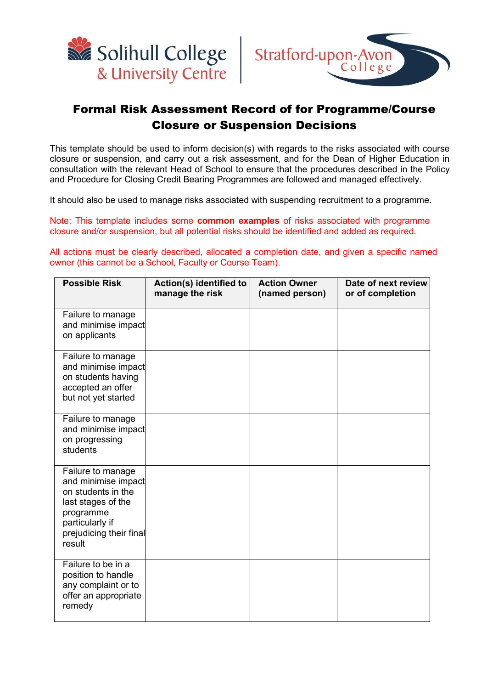



## Formal Risk Assessment Record of for Programme/Course Closure or Suspension Decisions

This template should be used to inform decision(s) with regards to the risks associated with course closure or suspension, and carry out a risk assessment, and for the Dean of Higher Education in consultation with the relevant Head of School to ensure that the procedures described in the Policy and Procedure for Closing Credit Bearing Programmes are followed and managed effectively.

It should also be used to manage risks associated with suspending recruitment to a programme.

Note: This template includes some **common examples** of risks associated with programme closure and/or suspension, but all potential risks should be identified and added as required.

All actions must be clearly described, allocated a completion date, and given a specific named owner (this cannot be a School, Faculty or Course Team).

| <b>Possible Risk</b>                                                                                                                                      | Action(s) identified to<br>manage the risk | <b>Action Owner</b><br>(named person) | Date of next review<br>or of completion |
|-----------------------------------------------------------------------------------------------------------------------------------------------------------|--------------------------------------------|---------------------------------------|-----------------------------------------|
| Failure to manage<br>and minimise impact<br>on applicants                                                                                                 |                                            |                                       |                                         |
| Failure to manage<br>and minimise impact<br>on students having<br>accepted an offer<br>but not yet started                                                |                                            |                                       |                                         |
| Failure to manage<br>and minimise impact<br>on progressing<br>students                                                                                    |                                            |                                       |                                         |
| Failure to manage<br>and minimise impact<br>on students in the<br>last stages of the<br>programme<br>particularly if<br>prejudicing their final<br>result |                                            |                                       |                                         |
| Failure to be in a<br>position to handle<br>any complaint or to<br>offer an appropriate<br>remedy                                                         |                                            |                                       |                                         |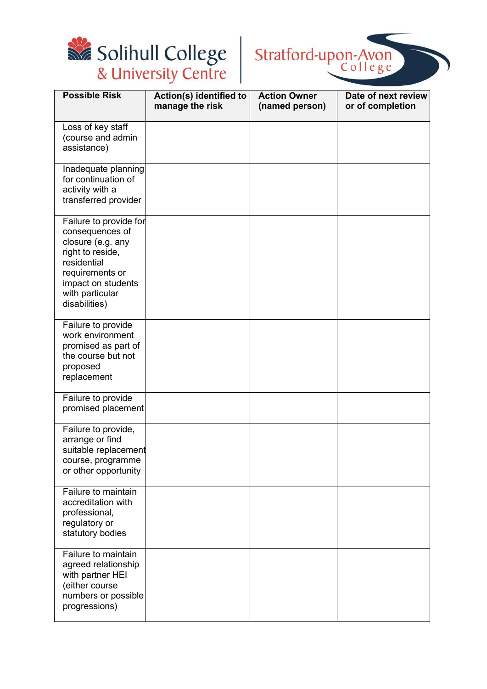



| <b>Possible Risk</b>                                                                                                                                                           | Action(s) identified to<br>manage the risk | <b>Action Owner</b><br>(named person) | Date of next review<br>or of completion |
|--------------------------------------------------------------------------------------------------------------------------------------------------------------------------------|--------------------------------------------|---------------------------------------|-----------------------------------------|
| Loss of key staff<br>(course and admin<br>assistance)                                                                                                                          |                                            |                                       |                                         |
| Inadequate planning<br>for continuation of<br>activity with a<br>transferred provider                                                                                          |                                            |                                       |                                         |
| Failure to provide for<br>consequences of<br>closure (e.g. any<br>right to reside,<br>residential<br>requirements or<br>impact on students<br>with particular<br>disabilities) |                                            |                                       |                                         |
| Failure to provide<br>work environment<br>promised as part of<br>the course but not<br>proposed<br>replacement                                                                 |                                            |                                       |                                         |
| Failure to provide<br>promised placement                                                                                                                                       |                                            |                                       |                                         |
| Failure to provide,<br>arrange or find<br>suitable replacement<br>course, programme<br>or other opportunity                                                                    |                                            |                                       |                                         |
| Failure to maintain<br>accreditation with<br>professional,<br>regulatory or<br>statutory bodies                                                                                |                                            |                                       |                                         |
| Failure to maintain<br>agreed relationship<br>with partner HEI<br>(either course<br>numbers or possible<br>progressions)                                                       |                                            |                                       |                                         |